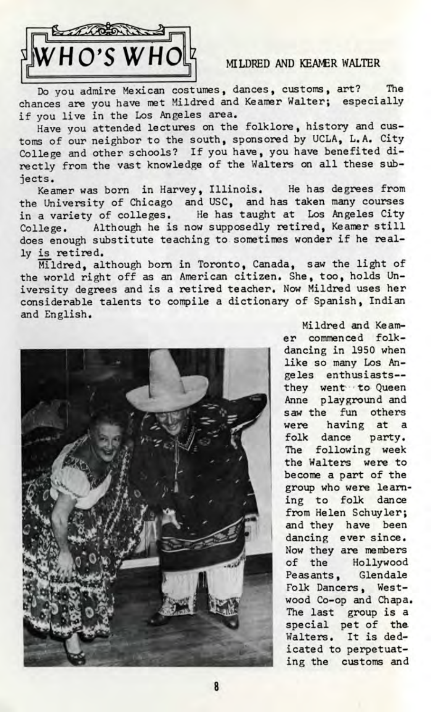

Do you admire Mexican costumes, dances, customs, art? The chances are you have met Mildred and Keamer Walter; especially if you live in the Los Angeles area.

Have you attended lectures on the folklore, history and customs of our neighbor to the south, sponsored by UCLA, L.A. City College and other schools? If you have, you have benefited directly from the vast knowledge of the Walters on all these subjects.

Keamer was born in Harvey, Illinois. He has degrees from the University of Chicago and USC, and has taken many courses in a variety of colleges. He has taught at Los Angeles City College. Although he is now supposedly retired, Keamer still does enough substitute teaching to sometimes wonder if he really is retired.

Mildred, although born in Toronto, Canada, saw the light of the world right off as an American citizen. She, too, holds University degrees and is a retired teacher. Now Mildred uses her considerable talents to compile a dictionary of Spanish, Indian and English.



Mildred and Keamer commenced folkdancing in 1950 when like so many Los Angeles enthusiasts they went to Queen Anne playground and saw the fun others were having at a folk dance party. The following week the Walters were to become a part of the group who were learning to folk dance from Helen Schuyler; and they have been dancing ever since. Now they are members of the Hollywood Peasants, Glendale Folk Dancers, Westwood Co-op and Chapa. The last group is a special pet of the Walters. It is dedicated to perpetuating the customs and